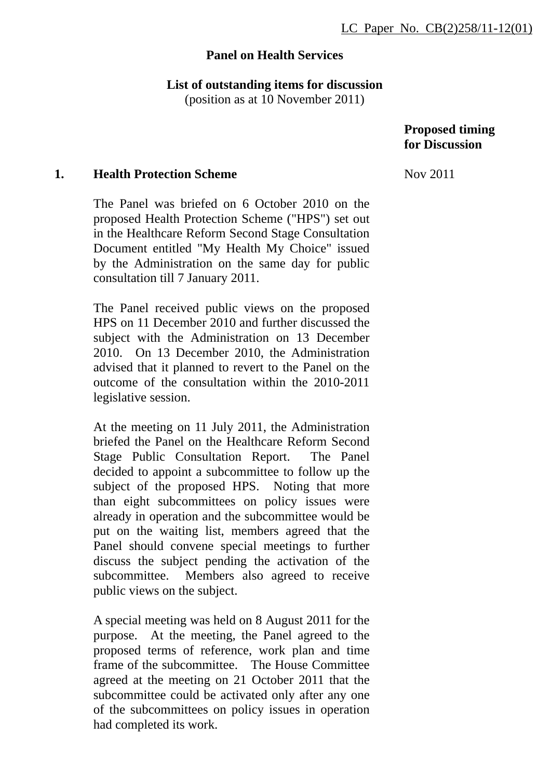# **Panel on Health Services**

# **List of outstanding items for discussion**

(position as at 10 November 2011)

### **Proposed timing for Discussion**

#### **1. Health Protection Scheme**

The Panel was briefed on 6 October 2010 on the proposed Health Protection Scheme ("HPS") set out in the Healthcare Reform Second Stage Consultation Document entitled "My Health My Choice" issued by the Administration on the same day for public consultation till 7 January 2011.

The Panel received public views on the proposed HPS on 11 December 2010 and further discussed the subject with the Administration on 13 December 2010. On 13 December 2010, the Administration advised that it planned to revert to the Panel on the outcome of the consultation within the 2010-2011 legislative session.

At the meeting on 11 July 2011, the Administration briefed the Panel on the Healthcare Reform Second Stage Public Consultation Report. The Panel decided to appoint a subcommittee to follow up the subject of the proposed HPS. Noting that more than eight subcommittees on policy issues were already in operation and the subcommittee would be put on the waiting list, members agreed that the Panel should convene special meetings to further discuss the subject pending the activation of the subcommittee. Members also agreed to receive public views on the subject.

A special meeting was held on 8 August 2011 for the purpose. At the meeting, the Panel agreed to the proposed terms of reference, work plan and time frame of the subcommittee. The House Committee agreed at the meeting on 21 October 2011 that the subcommittee could be activated only after any one of the subcommittees on policy issues in operation had completed its work.

Nov 2011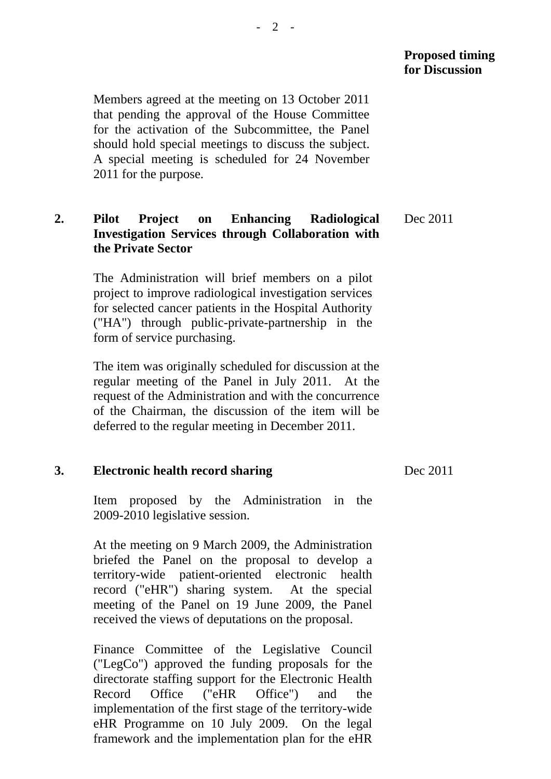Members agreed at the meeting on 13 October 2011 that pending the approval of the House Committee for the activation of the Subcommittee, the Panel should hold special meetings to discuss the subject. A special meeting is scheduled for 24 November 2011 for the purpose.

# **2. Pilot Project on Enhancing Radiological Investigation Services through Collaboration with the Private Sector**

The Administration will brief members on a pilot project to improve radiological investigation services for selected cancer patients in the Hospital Authority ("HA") through public-private-partnership in the form of service purchasing.

The item was originally scheduled for discussion at the regular meeting of the Panel in July 2011. At the request of the Administration and with the concurrence of the Chairman, the discussion of the item will be deferred to the regular meeting in December 2011.

# **3. Electronic health record sharing**

Item proposed by the Administration in the 2009-2010 legislative session.

At the meeting on 9 March 2009, the Administration briefed the Panel on the proposal to develop a territory-wide patient-oriented electronic health record ("eHR") sharing system. At the special meeting of the Panel on 19 June 2009, the Panel received the views of deputations on the proposal.

Finance Committee of the Legislative Council ("LegCo") approved the funding proposals for the directorate staffing support for the Electronic Health Record Office ("eHR Office") and the implementation of the first stage of the territory-wide eHR Programme on 10 July 2009. On the legal framework and the implementation plan for the eHR

Dec 2011

Dec 2011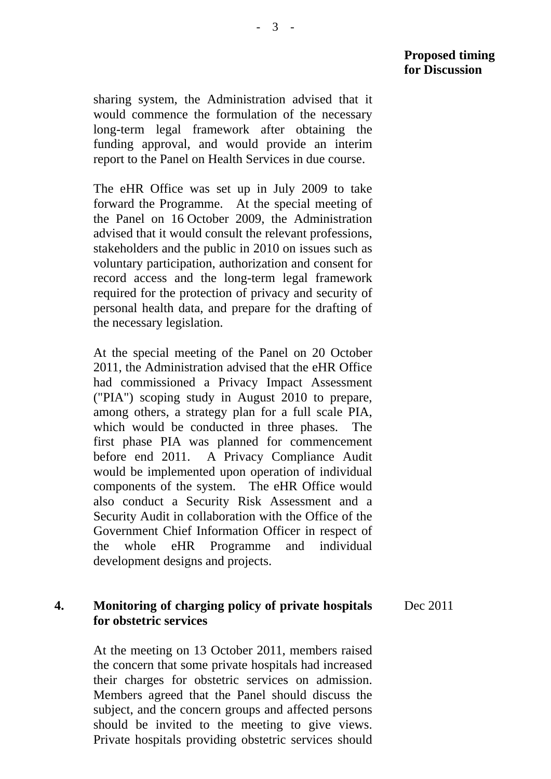sharing system, the Administration advised that it would commence the formulation of the necessary long-term legal framework after obtaining the funding approval, and would provide an interim report to the Panel on Health Services in due course.

The eHR Office was set up in July 2009 to take forward the Programme. At the special meeting of the Panel on 16 October 2009, the Administration advised that it would consult the relevant professions, stakeholders and the public in 2010 on issues such as voluntary participation, authorization and consent for record access and the long-term legal framework required for the protection of privacy and security of personal health data, and prepare for the drafting of the necessary legislation.

At the special meeting of the Panel on 20 October 2011, the Administration advised that the eHR Office had commissioned a Privacy Impact Assessment ("PIA") scoping study in August 2010 to prepare, among others, a strategy plan for a full scale PIA, which would be conducted in three phases. The first phase PIA was planned for commencement before end 2011. A Privacy Compliance Audit would be implemented upon operation of individual components of the system. The eHR Office would also conduct a Security Risk Assessment and a Security Audit in collaboration with the Office of the Government Chief Information Officer in respect of the whole eHR Programme and individual development designs and projects.

#### **4. Monitoring of charging policy of private hospitals for obstetric services**  Dec 2011

At the meeting on 13 October 2011, members raised the concern that some private hospitals had increased their charges for obstetric services on admission. Members agreed that the Panel should discuss the subject, and the concern groups and affected persons should be invited to the meeting to give views. Private hospitals providing obstetric services should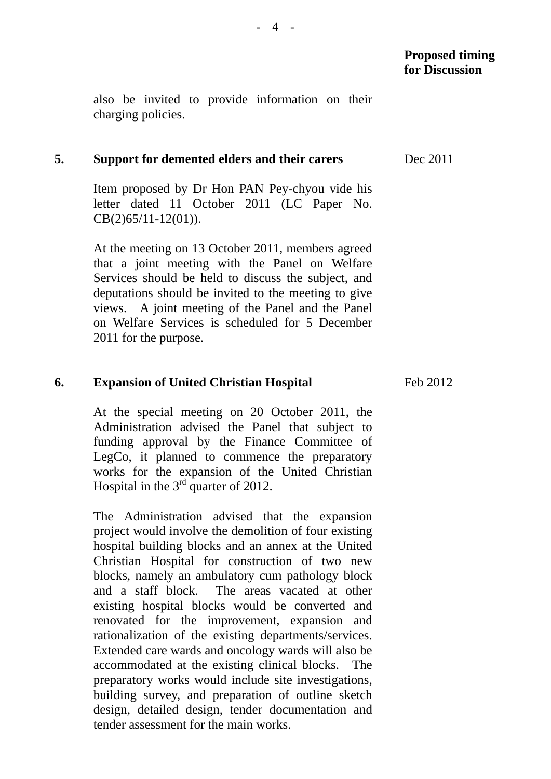also be invited to provide information on their charging policies.

#### **5. Support for demented elders and their carers**

Item proposed by Dr Hon PAN Pey-chyou vide his letter dated 11 October 2011 (LC Paper No. CB(2)65/11-12(01)).

At the meeting on 13 October 2011, members agreed that a joint meeting with the Panel on Welfare Services should be held to discuss the subject, and deputations should be invited to the meeting to give views. A joint meeting of the Panel and the Panel on Welfare Services is scheduled for 5 December 2011 for the purpose.

#### **6. Expansion of United Christian Hospital**

At the special meeting on 20 October 2011, the Administration advised the Panel that subject to funding approval by the Finance Committee of LegCo, it planned to commence the preparatory works for the expansion of the United Christian Hospital in the  $3<sup>rd</sup>$  quarter of 2012.

The Administration advised that the expansion project would involve the demolition of four existing hospital building blocks and an annex at the United Christian Hospital for construction of two new blocks, namely an ambulatory cum pathology block and a staff block. The areas vacated at other existing hospital blocks would be converted and renovated for the improvement, expansion and rationalization of the existing departments/services. Extended care wards and oncology wards will also be accommodated at the existing clinical blocks. The preparatory works would include site investigations, building survey, and preparation of outline sketch design, detailed design, tender documentation and tender assessment for the main works.

Dec 2011

Feb 2012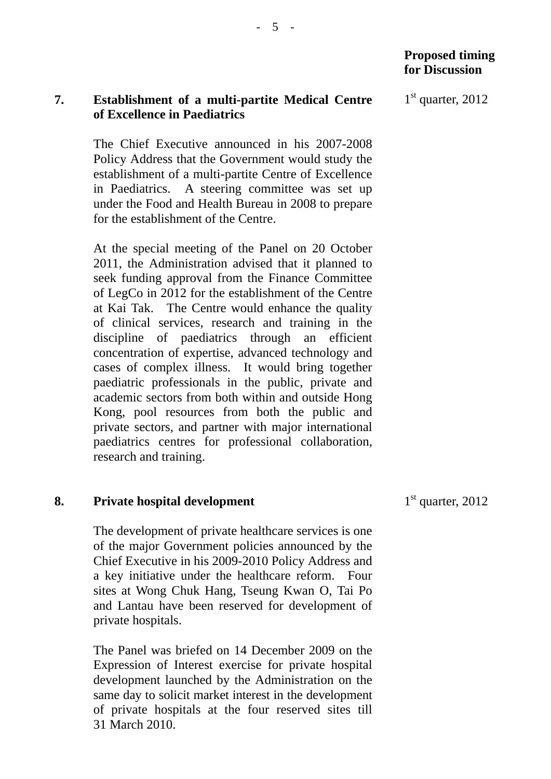### **7. Establishment of a multi-partite Medical Centre of Excellence in Paediatrics**

The Chief Executive announced in his 2007-2008 Policy Address that the Government would study the establishment of a multi-partite Centre of Excellence in Paediatrics. A steering committee was set up under the Food and Health Bureau in 2008 to prepare for the establishment of the Centre.

At the special meeting of the Panel on 20 October 2011, the Administration advised that it planned to seek funding approval from the Finance Committee of LegCo in 2012 for the establishment of the Centre at Kai Tak. The Centre would enhance the quality of clinical services, research and training in the discipline of paediatrics through an efficient concentration of expertise, advanced technology and cases of complex illness. It would bring together paediatric professionals in the public, private and academic sectors from both within and outside Hong Kong, pool resources from both the public and private sectors, and partner with major international paediatrics centres for professional collaboration, research and training.

# **8. Private hospital development**

The development of private healthcare services is one of the major Government policies announced by the Chief Executive in his 2009-2010 Policy Address and a key initiative under the healthcare reform. Four sites at Wong Chuk Hang, Tseung Kwan O, Tai Po and Lantau have been reserved for development of private hospitals.

The Panel was briefed on 14 December 2009 on the Expression of Interest exercise for private hospital development launched by the Administration on the same day to solicit market interest in the development of private hospitals at the four reserved sites till 31 March 2010.

 $1<sup>st</sup>$  quarter, 2012

 $1<sup>st</sup>$  quarter, 2012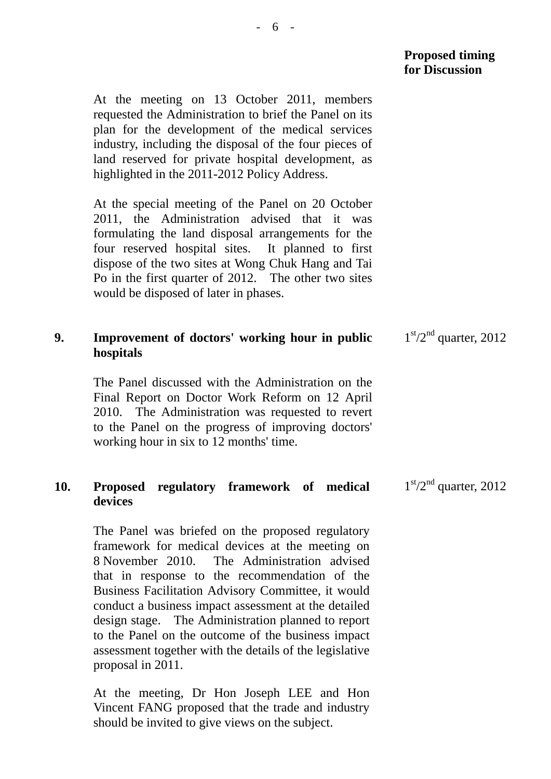At the meeting on 13 October 2011, members requested the Administration to brief the Panel on its plan for the development of the medical services industry, including the disposal of the four pieces of land reserved for private hospital development, as highlighted in the 2011-2012 Policy Address.

At the special meeting of the Panel on 20 October 2011, the Administration advised that it was formulating the land disposal arrangements for the four reserved hospital sites. It planned to first dispose of the two sites at Wong Chuk Hang and Tai Po in the first quarter of 2012. The other two sites would be disposed of later in phases.

#### **9. Improvement of doctors' working hour in public hospitals**   $1<sup>st</sup>/2<sup>nd</sup>$  quarter, 2012

The Panel discussed with the Administration on the Final Report on Doctor Work Reform on 12 April 2010. The Administration was requested to revert to the Panel on the progress of improving doctors' working hour in six to 12 months' time.

#### **10. Proposed regulatory framework of medical devices**   $1<sup>st</sup>/2<sup>nd</sup>$  quarter, 2012

The Panel was briefed on the proposed regulatory framework for medical devices at the meeting on 8 November 2010. The Administration advised that in response to the recommendation of the Business Facilitation Advisory Committee, it would conduct a business impact assessment at the detailed design stage. The Administration planned to report to the Panel on the outcome of the business impact assessment together with the details of the legislative proposal in 2011.

At the meeting, Dr Hon Joseph LEE and Hon Vincent FANG proposed that the trade and industry should be invited to give views on the subject.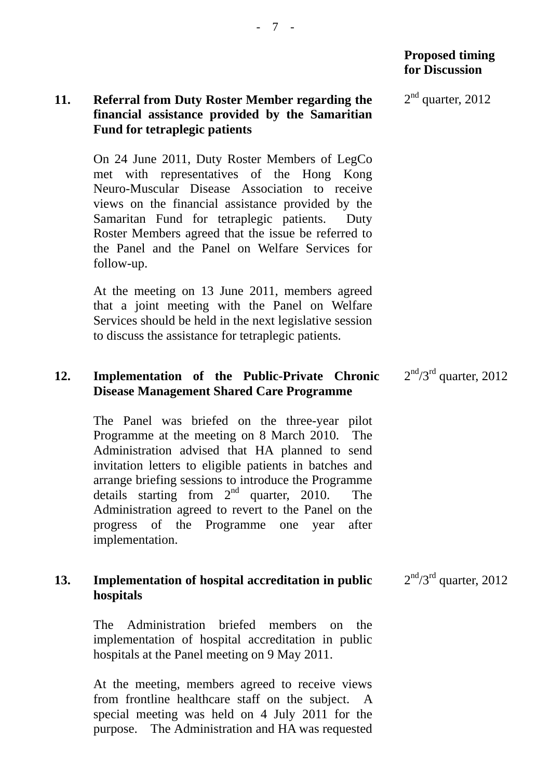### **11. Referral from Duty Roster Member regarding the financial assistance provided by the Samaritian Fund for tetraplegic patients**

On 24 June 2011, Duty Roster Members of LegCo met with representatives of the Hong Kong Neuro-Muscular Disease Association to receive views on the financial assistance provided by the Samaritan Fund for tetraplegic patients. Duty Roster Members agreed that the issue be referred to the Panel and the Panel on Welfare Services for follow-up.

At the meeting on 13 June 2011, members agreed that a joint meeting with the Panel on Welfare Services should be held in the next legislative session to discuss the assistance for tetraplegic patients.

### **12. Implementation of the Public-Private Chronic Disease Management Shared Care Programme**

The Panel was briefed on the three-year pilot Programme at the meeting on 8 March 2010. The Administration advised that HA planned to send invitation letters to eligible patients in batches and arrange briefing sessions to introduce the Programme details starting from  $2<sup>nd</sup>$  quarter, 2010. The Administration agreed to revert to the Panel on the progress of the Programme one year after implementation.

#### **13. Implementation of hospital accreditation in public hospitals**   $2<sup>nd</sup>/3<sup>rd</sup>$  quarter, 2012

The Administration briefed members on the implementation of hospital accreditation in public hospitals at the Panel meeting on 9 May 2011.

At the meeting, members agreed to receive views from frontline healthcare staff on the subject. A special meeting was held on 4 July 2011 for the purpose. The Administration and HA was requested 2nd quarter, 2012

 $2<sup>nd</sup>/3<sup>rd</sup>$  quarter, 2012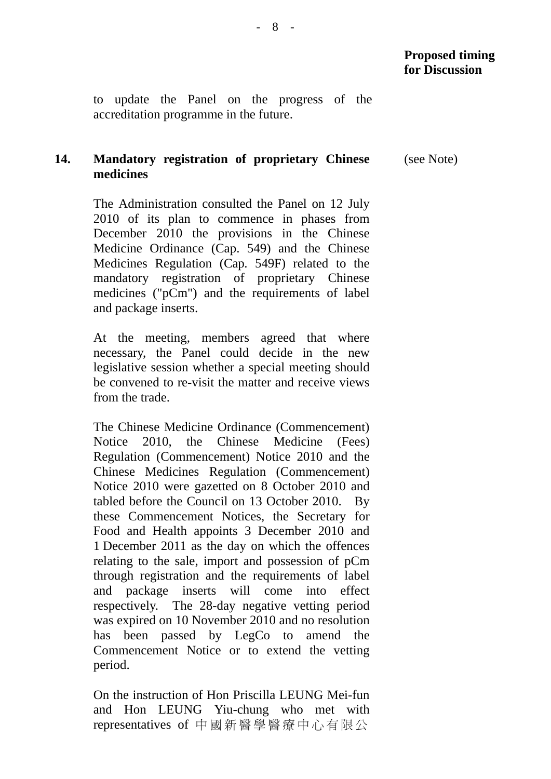(see Note)

to update the Panel on the progress of the accreditation programme in the future.

#### **14. Mandatory registration of proprietary Chinese medicines**

The Administration consulted the Panel on 12 July 2010 of its plan to commence in phases from December 2010 the provisions in the Chinese Medicine Ordinance (Cap. 549) and the Chinese Medicines Regulation (Cap. 549F) related to the mandatory registration of proprietary Chinese medicines ("pCm") and the requirements of label and package inserts.

At the meeting, members agreed that where necessary, the Panel could decide in the new legislative session whether a special meeting should be convened to re-visit the matter and receive views from the trade.

The Chinese Medicine Ordinance (Commencement) Notice 2010, the Chinese Medicine (Fees) Regulation (Commencement) Notice 2010 and the Chinese Medicines Regulation (Commencement) Notice 2010 were gazetted on 8 October 2010 and tabled before the Council on 13 October 2010. By these Commencement Notices, the Secretary for Food and Health appoints 3 December 2010 and 1 December 2011 as the day on which the offences relating to the sale, import and possession of pCm through registration and the requirements of label and package inserts will come into effect respectively. The 28-day negative vetting period was expired on 10 November 2010 and no resolution has been passed by LegCo to amend the Commencement Notice or to extend the vetting period.

On the instruction of Hon Priscilla LEUNG Mei-fun and Hon LEUNG Yiu-chung who met with representatives of 中國新醫學醫療中心有限公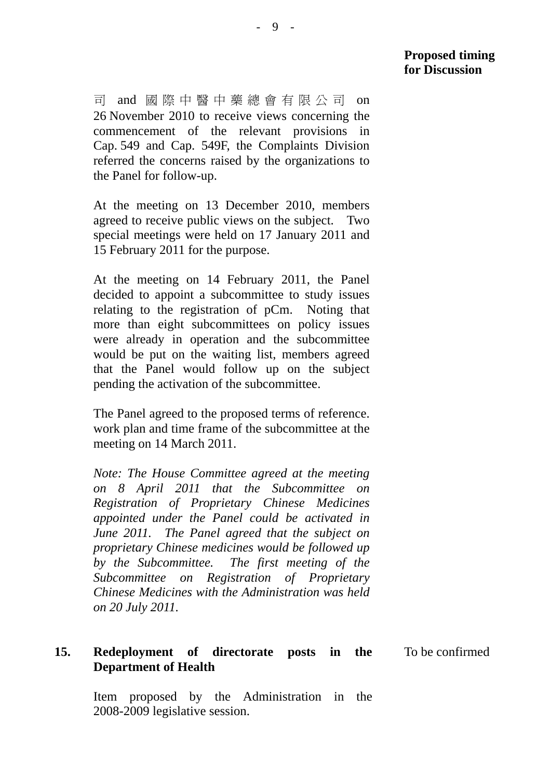司 and 國際中醫中藥總會有限公司 on 26 November 2010 to receive views concerning the commencement of the relevant provisions in Cap. 549 and Cap. 549F, the Complaints Division referred the concerns raised by the organizations to the Panel for follow-up.

At the meeting on 13 December 2010, members agreed to receive public views on the subject. Two special meetings were held on 17 January 2011 and 15 February 2011 for the purpose.

At the meeting on 14 February 2011, the Panel decided to appoint a subcommittee to study issues relating to the registration of pCm. Noting that more than eight subcommittees on policy issues were already in operation and the subcommittee would be put on the waiting list, members agreed that the Panel would follow up on the subject pending the activation of the subcommittee.

The Panel agreed to the proposed terms of reference. work plan and time frame of the subcommittee at the meeting on 14 March 2011.

*Note: The House Committee agreed at the meeting on 8 April 2011 that the Subcommittee on Registration of Proprietary Chinese Medicines appointed under the Panel could be activated in June 2011. The Panel agreed that the subject on proprietary Chinese medicines would be followed up by the Subcommittee. The first meeting of the Subcommittee on Registration of Proprietary Chinese Medicines with the Administration was held on 20 July 2011.* 

#### **15. Redeployment of directorate posts in the Department of Health**  To be confirmed

Item proposed by the Administration in the 2008-2009 legislative session.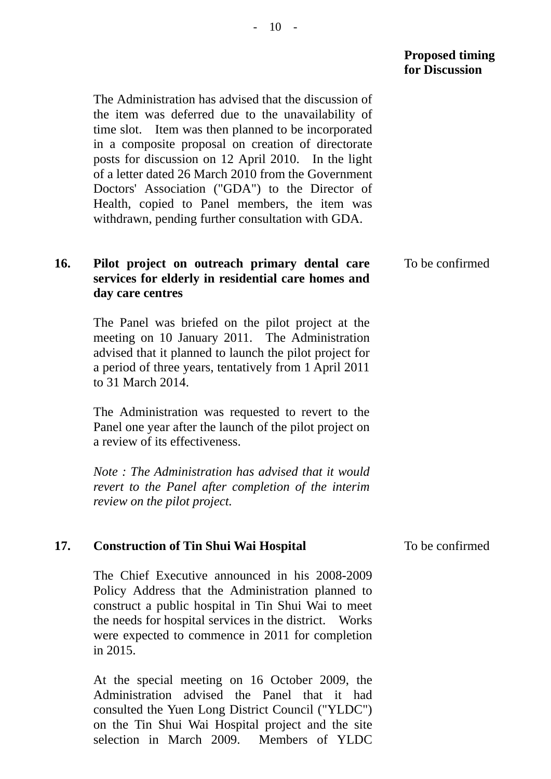#### **Proposed timing for Discussion**

The Administration has advised that the discussion of the item was deferred due to the unavailability of time slot. Item was then planned to be incorporated in a composite proposal on creation of directorate posts for discussion on 12 April 2010. In the light of a letter dated 26 March 2010 from the Government Doctors' Association ("GDA") to the Director of Health, copied to Panel members, the item was withdrawn, pending further consultation with GDA.

#### **16. Pilot project on outreach primary dental care services for elderly in residential care homes and day care centres**  To be confirmed

The Panel was briefed on the pilot project at the meeting on 10 January 2011. The Administration advised that it planned to launch the pilot project for a period of three years, tentatively from 1 April 2011 to 31 March 2014.

The Administration was requested to revert to the Panel one year after the launch of the pilot project on a review of its effectiveness.

*Note : The Administration has advised that it would revert to the Panel after completion of the interim review on the pilot project.* 

#### **17. Construction of Tin Shui Wai Hospital**

The Chief Executive announced in his 2008-2009 Policy Address that the Administration planned to construct a public hospital in Tin Shui Wai to meet the needs for hospital services in the district. Works were expected to commence in 2011 for completion in 2015.

At the special meeting on 16 October 2009, the Administration advised the Panel that it had consulted the Yuen Long District Council ("YLDC") on the Tin Shui Wai Hospital project and the site selection in March 2009. Members of YLDC

To be confirmed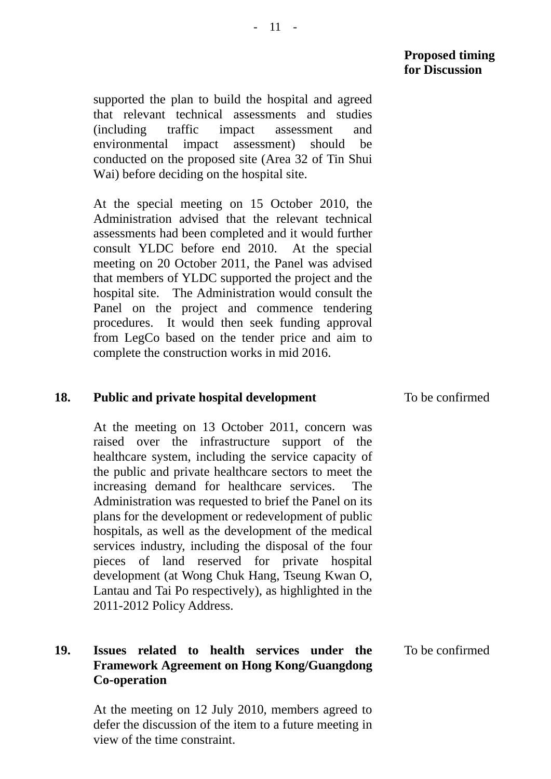# **Proposed timing for Discussion**

supported the plan to build the hospital and agreed that relevant technical assessments and studies (including traffic impact assessment and environmental impact assessment) should be conducted on the proposed site (Area 32 of Tin Shui Wai) before deciding on the hospital site.

At the special meeting on 15 October 2010, the Administration advised that the relevant technical assessments had been completed and it would further consult YLDC before end 2010. At the special meeting on 20 October 2011, the Panel was advised that members of YLDC supported the project and the hospital site. The Administration would consult the Panel on the project and commence tendering procedures. It would then seek funding approval from LegCo based on the tender price and aim to complete the construction works in mid 2016.

# **18. Public and private hospital development**

At the meeting on 13 October 2011, concern was raised over the infrastructure support of the healthcare system, including the service capacity of the public and private healthcare sectors to meet the increasing demand for healthcare services. The Administration was requested to brief the Panel on its plans for the development or redevelopment of public hospitals, as well as the development of the medical services industry, including the disposal of the four pieces of land reserved for private hospital development (at Wong Chuk Hang, Tseung Kwan O, Lantau and Tai Po respectively), as highlighted in the 2011-2012 Policy Address.

# **19. Issues related to health services under the Framework Agreement on Hong Kong/Guangdong Co-operation**

At the meeting on 12 July 2010, members agreed to defer the discussion of the item to a future meeting in view of the time constraint.

To be confirmed

To be confirmed